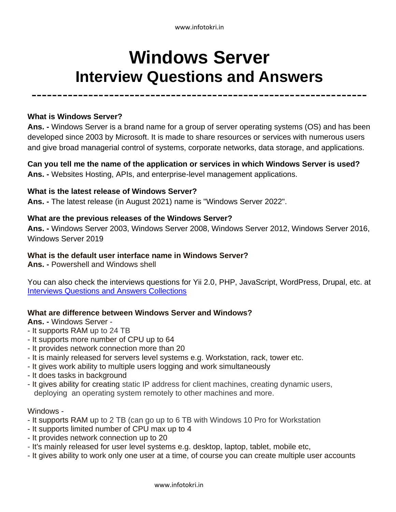www.infotokri.in

# **Windows Server Interview Questions and Answers**

-----------------------------------------------------------------

# **What is Windows Server?**

**Ans. -** Windows Server is a brand name for a group of server operating systems (OS) and has been developed since 2003 by Microsoft. It is made to share resources or services with numerous users and give broad managerial control of systems, corporate networks, data storage, and applications.

**Can you tell me the name of the application or services in which Windows Server is used? Ans. -** Websites Hosting, APIs, and enterprise-level management applications.

# **What is the latest release of Windows Server?**

**Ans. -** The latest release (in August 2021) name is "Windows Server 2022".

## **What are the previous releases of the Windows Server?**

**Ans. -** Windows Server 2003, Windows Server 2008, Windows Server 2012, Windows Server 2016, Windows Server 2019

## **What is the default user interface name in Windows Server?**

**Ans. -** Powershell and Windows shell

You can also check the interviews questions for Yii 2.0, PHP, JavaScript, WordPress, Drupal, etc. at [Interviews Questions and Answers Collections](https://www.infotokri.in/search/label/Interviews?&max-results=7)

# **What are difference between Windows Server and Windows?**

**Ans. -** Windows Server -

- It supports RAM up to 24 TB
- It supports more number of CPU up to 64
- It provides network connection more than 20
- It is mainly released for servers level systems e.g. Workstation, rack, tower etc.
- It gives work ability to multiple users logging and work simultaneously
- It does tasks in background
- It gives ability for creating static IP address for client machines, creating dynamic users, deploying an operating system remotely to other machines and more.

#### Windows -

- It supports RAM up to 2 TB (can go up to 6 TB with Windows 10 Pro for Workstation
- It supports limited number of CPU max up to 4
- It provides network connection up to 20
- It's mainly released for user level systems e.g. desktop, laptop, tablet, mobile etc,
- It gives ability to work only one user at a time, of course you can create multiple user accounts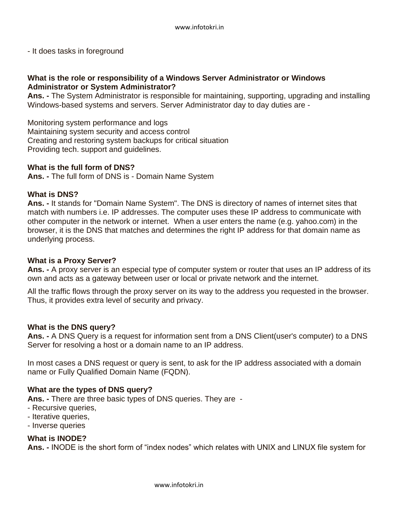- It does tasks in foreground

# **What is the role or responsibility of a Windows Server Administrator or Windows Administrator or System Administrator?**

**Ans. -** The System Administrator is responsible for maintaining, supporting, upgrading and installing Windows-based systems and servers. Server Administrator day to day duties are -

Monitoring system performance and logs Maintaining system security and access control Creating and restoring system backups for critical situation Providing tech. support and guidelines.

# **What is the full form of DNS?**

**Ans. -** The full form of DNS is - Domain Name System

# **What is DNS?**

**Ans. -** It stands for "Domain Name System". The DNS is directory of names of internet sites that match with numbers i.e. IP addresses. The computer uses these IP address to communicate with other computer in the network or internet. When a user enters the name (e.g. yahoo.com) in the browser, it is the DNS that matches and determines the right IP address for that domain name as underlying process.

# **What is a Proxy Server?**

**Ans. -** A proxy server is an especial type of computer system or router that uses an IP address of its own and acts as a gateway between user or local or private network and the internet.

All the traffic flows through the proxy server on its way to the address you requested in the browser. Thus, it provides extra level of security and privacy.

# **What is the DNS query?**

**Ans. -** A DNS Query is a request for information sent from a DNS Client(user's computer) to a DNS Server for resolving a host or a domain name to an IP address.

In most cases a DNS request or query is sent, to ask for the IP address associated with a domain name or Fully Qualified Domain Name (FQDN).

# **What are the types of DNS query?**

**Ans. -** There are three basic types of DNS queries. They are -

- Recursive queries,
- Iterative queries,
- Inverse queries

# **What is INODE?**

**Ans. -** INODE is the short form of "index nodes" which relates with UNIX and LINUX file system for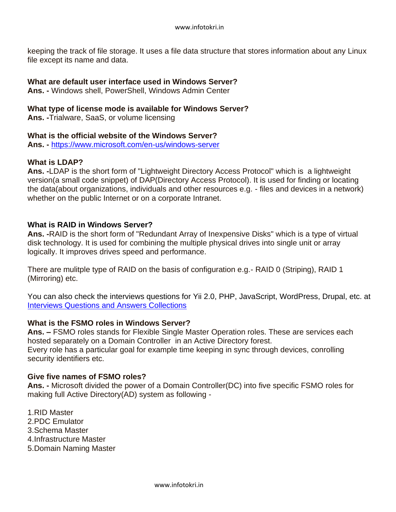keeping the track of file storage. It uses a file data structure that stores information about any Linux file except its name and data.

## **What are default user interface used in Windows Server?**

**Ans. -** Windows shell, PowerShell, Windows Admin Center

## **What type of license mode is available for Windows Server?**

**Ans. -**Trialware, SaaS, or volume licensing

## **What is the official website of the Windows Server?**

**Ans. -** <https://www.microsoft.com/en-us/windows-server>

## **What is LDAP?**

**Ans. -**LDAP is the short form of "Lightweight Directory Access Protocol" which is a lightweight version(a small code snippet) of DAP(Directory Access Protocol). It is used for finding or locating the data(about organizations, individuals and other resources e.g. - files and devices in a network) whether on the public Internet or on a corporate Intranet.

## **What is RAID in Windows Server?**

**Ans. -**RAID is the short form of "Redundant Array of Inexpensive Disks" which is a type of virtual disk technology. It is used for combining the multiple physical drives into single unit or array logically. It improves drives speed and performance.

There are mulitple type of RAID on the basis of configuration e.g.- RAID 0 (Striping), RAID 1 (Mirroring) etc.

You can also check the interviews questions for Yii 2.0, PHP, JavaScript, WordPress, Drupal, etc. at [Interviews Questions and Answers Collections](https://www.infotokri.in/search/label/Interviews?&max-results=7)

# **What is the FSMO roles in Windows Server?**

**Ans. –** FSMO roles stands for Flexible Single Master Operation roles. These are services each hosted separately on a Domain Controller in an Active Directory forest. Every role has a particular goal for example time keeping in sync through devices, conrolling security identifiers etc.

#### **Give five names of FSMO roles?**

**Ans. -** Microsoft divided the power of a Domain Controller(DC) into five specific FSMO roles for making full Active Directory(AD) system as following -

1.RID Master 2.PDC Emulator 3.Schema Master 4.Infrastructure Master 5.Domain Naming Master